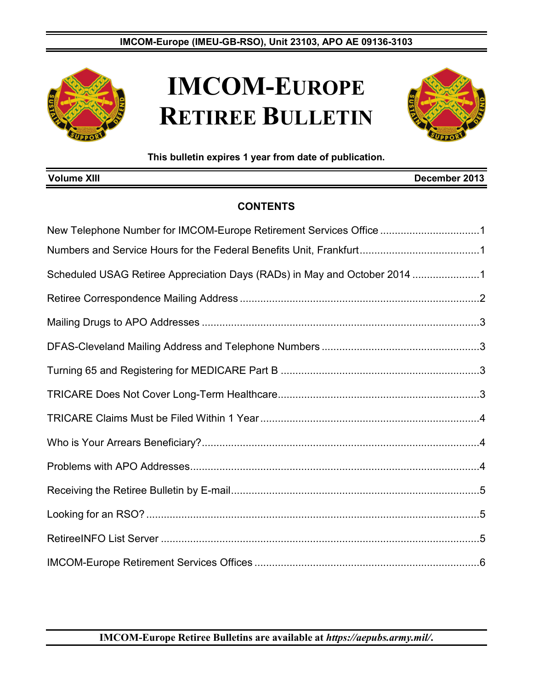

# **IMCOM-EUROPE RETIREE BULLETIN**



**This bulletin expires 1 year from date of publication.**

| <b>Volume XIII</b><br>December 2013                                       |  |
|---------------------------------------------------------------------------|--|
| <b>CONTENTS</b>                                                           |  |
| New Telephone Number for IMCOM-Europe Retirement Services Office 1        |  |
|                                                                           |  |
| Scheduled USAG Retiree Appreciation Days (RADs) in May and October 2014 1 |  |
|                                                                           |  |
|                                                                           |  |
|                                                                           |  |
|                                                                           |  |
|                                                                           |  |
|                                                                           |  |
|                                                                           |  |
|                                                                           |  |
|                                                                           |  |
|                                                                           |  |
|                                                                           |  |
|                                                                           |  |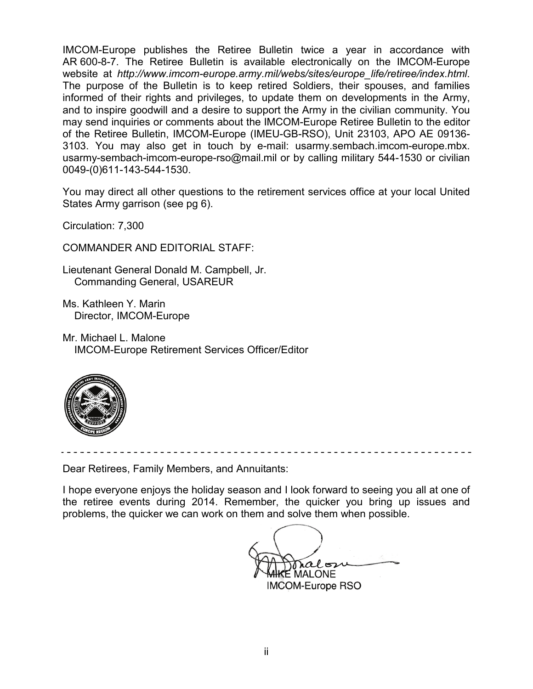IMCOM-Europe publishes the Retiree Bulletin twice a year in accordance with AR 600-8-7. The Retiree Bulletin is available electronically on the IMCOM-Europe website at *[http://www.imcom-europe.army.mil/webs/sites/europe\\_life/retiree/index.html](http://www.imcom-europe.army.mil/webs/sites/europe_life/retiree/index.html)*. The purpose of the Bulletin is to keep retired Soldiers, their spouses, and families informed of their rights and privileges, to update them on developments in the Army, and to inspire goodwill and a desire to support the Army in the civilian community. You may send inquiries or comments about the IMCOM-Europe Retiree Bulletin to the editor of the Retiree Bulletin, IMCOM-Europe (IMEU-GB-RSO), Unit 23103, APO AE 09136- 3103. You may also get in touch by e-mail: [usarmy.sembach.imcom-europe.mbx.](mailto:usarmy.sembach.imcom-europe.mbx.usarmy-sembach.imcom-europe-rso@mail.mil) [usarmy-sembach-imcom-europe-rso@mail.mil](mailto:usarmy.sembach.imcom-europe.mbx.usarmy-sembach.imcom-europe-rso@mail.mil) or by calling military 544-1530 or civilian 0049-(0)611-143-544-1530.

You may direct all other questions to the retirement services office at your local United States Army garrison (see pg 6).

Circulation: 7,300

COMMANDER AND EDITORIAL STAFF:

Lieutenant General Donald M. Campbell, Jr. Commanding General, USAREUR

Ms. Kathleen Y. Marin Director, IMCOM-Europe

Mr. Michael L. Malone IMCOM-Europe Retirement Services Officer/Editor



Dear Retirees, Family Members, and Annuitants:

I hope everyone enjoys the holiday season and I look forward to seeing you all at one of the retiree events during 2014. Remember, the quicker you bring up issues and problems, the quicker we can work on them and solve them when possible.

ralos  $\mathsf E$  MALONE. IMCOM-Europe RSO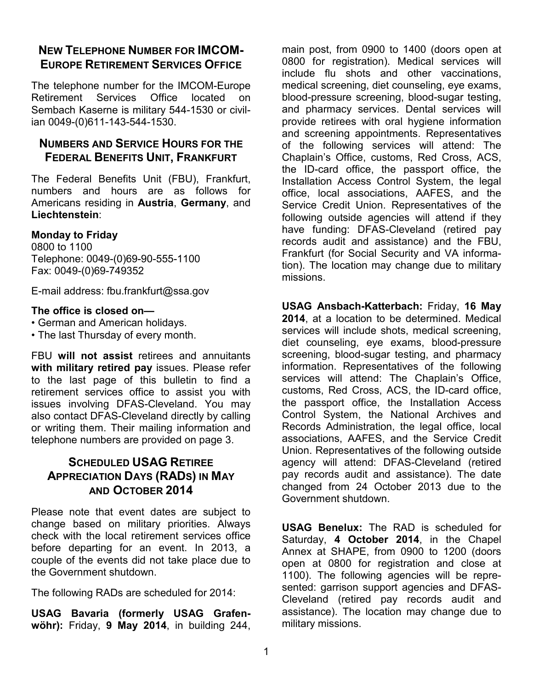### **NEW TELEPHONE NUMBER FOR IMCOM-EUROPE RETIREMENT SERVICES OFFICE**

The telephone number for the IMCOM-Europe Retirement Services Office located on Sembach Kaserne is military 544-1530 or civilian 0049-(0)611-143-544-1530.

### **NUMBERS AND SERVICE HOURS FOR THE FEDERAL BENEFITS UNIT, FRANKFURT**

The Federal Benefits Unit (FBU), Frankfurt, numbers and hours are as follows for Americans residing in **Austria**, **Germany**, and **Liechtenstein**:

#### **Monday to Friday**

0800 to 1100 Telephone: 0049-(0)69-90-555-1100 Fax: 0049-(0)69-749352

E-mail address: [fbu.frankfurt@ssa.gov](mailto:fbu.frankfurt@ssa.gov)

#### **The office is closed on—**

• German and American holidays.

• The last Thursday of every month.

FBU **will not assist** retirees and annuitants **with military retired pay** issues. Please refer to the last page of this bulletin to find a retirement services office to assist you with issues involving DFAS-Cleveland. You may also contact DFAS-Cleveland directly by calling or writing them. Their mailing information and telephone numbers are provided on page 3.

### **SCHEDULED USAG RETIREE APPRECIATION DAYS (RADS) IN MAY AND OCTOBER 2014**

Please note that event dates are subject to change based on military priorities. Always check with the local retirement services office before departing for an event. In 2013, a couple of the events did not take place due to the Government shutdown.

The following RADs are scheduled for 2014:

**USAG Bavaria (formerly USAG Grafenwöhr):** Friday, **9 May 2014**, in building 244,

main post, from 0900 to 1400 (doors open at 0800 for registration). Medical services will include flu shots and other vaccinations, medical screening, diet counseling, eye exams, blood-pressure screening, blood-sugar testing, and pharmacy services. Dental services will provide retirees with oral hygiene information and screening appointments. Representatives of the following services will attend: The Chaplain's Office, customs, Red Cross, ACS, the ID-card office, the passport office, the Installation Access Control System, the legal office, local associations, AAFES, and the Service Credit Union. Representatives of the following outside agencies will attend if they have funding: DFAS-Cleveland (retired pay records audit and assistance) and the FBU, Frankfurt (for Social Security and VA information). The location may change due to military missions.

**USAG Ansbach-Katterbach:** Friday, **16 May 2014**, at a location to be determined. Medical services will include shots, medical screening, diet counseling, eye exams, blood-pressure screening, blood-sugar testing, and pharmacy information. Representatives of the following services will attend: The Chaplain's Office, customs, Red Cross, ACS, the ID-card office, the passport office, the Installation Access Control System, the National Archives and Records Administration, the legal office, local associations, AAFES, and the Service Credit Union. Representatives of the following outside agency will attend: DFAS-Cleveland (retired pay records audit and assistance). The date changed from 24 October 2013 due to the Government shutdown.

**USAG Benelux:** The RAD is scheduled for Saturday, **4 October 2014**, in the Chapel Annex at SHAPE, from 0900 to 1200 (doors open at 0800 for registration and close at 1100). The following agencies will be represented: garrison support agencies and DFAS-Cleveland (retired pay records audit and assistance). The location may change due to military missions.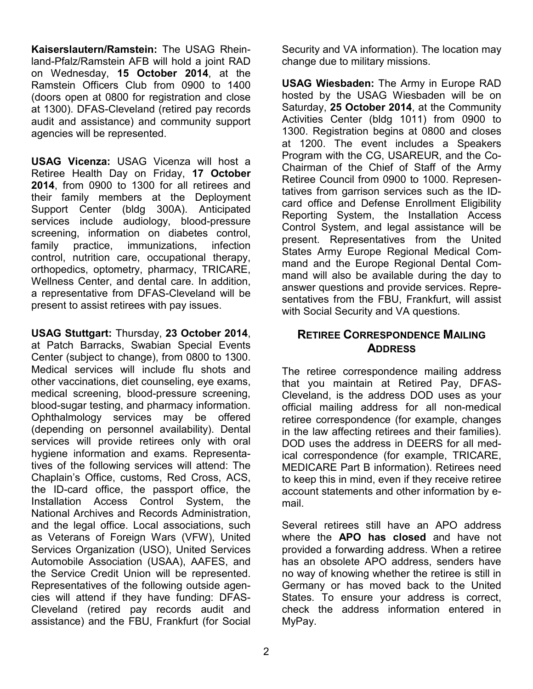**Kaiserslautern/Ramstein:** The USAG Rheinland-Pfalz/Ramstein AFB will hold a joint RAD on Wednesday, **15 October 2014**, at the Ramstein Officers Club from 0900 to 1400 (doors open at 0800 for registration and close at 1300). DFAS-Cleveland (retired pay records audit and assistance) and community support agencies will be represented.

**USAG Vicenza:** USAG Vicenza will host a Retiree Health Day on Friday, **17 October 2014**, from 0900 to 1300 for all retirees and their family members at the Deployment Support Center (bldg 300A). Anticipated services include audiology, blood-pressure screening, information on diabetes control, family practice, immunizations, infection control, nutrition care, occupational therapy, orthopedics, optometry, pharmacy, TRICARE, Wellness Center, and dental care. In addition, a representative from DFAS-Cleveland will be present to assist retirees with pay issues.

**USAG Stuttgart:** Thursday, **23 October 2014**, at Patch Barracks, Swabian Special Events Center (subject to change), from 0800 to 1300. Medical services will include flu shots and other vaccinations, diet counseling, eye exams, medical screening, blood-pressure screening, blood-sugar testing, and pharmacy information. Ophthalmology services may be offered (depending on personnel availability). Dental services will provide retirees only with oral hygiene information and exams. Representatives of the following services will attend: The Chaplain's Office, customs, Red Cross, ACS, the ID-card office, the passport office, the Installation Access Control System, the National Archives and Records Administration, and the legal office. Local associations, such as Veterans of Foreign Wars (VFW), United Services Organization (USO), United Services Automobile Association (USAA), AAFES, and the Service Credit Union will be represented. Representatives of the following outside agencies will attend if they have funding: DFAS-Cleveland (retired pay records audit and assistance) and the FBU, Frankfurt (for Social Security and VA information). The location may change due to military missions.

**USAG Wiesbaden:** The Army in Europe RAD hosted by the USAG Wiesbaden will be on Saturday, **25 October 2014**, at the Community Activities Center (bldg 1011) from 0900 to 1300. Registration begins at 0800 and closes at 1200. The event includes a Speakers Program with the CG, USAREUR, and the Co-Chairman of the Chief of Staff of the Army Retiree Council from 0900 to 1000. Representatives from garrison services such as the IDcard office and Defense Enrollment Eligibility Reporting System, the Installation Access Control System, and legal assistance will be present. Representatives from the United States Army Europe Regional Medical Command and the Europe Regional Dental Command will also be available during the day to answer questions and provide services. Representatives from the FBU, Frankfurt, will assist with Social Security and VA questions.

### **RETIREE CORRESPONDENCE MAILING ADDRESS**

The retiree correspondence mailing address that you maintain at Retired Pay, DFAS-Cleveland, is the address DOD uses as your official mailing address for all non-medical retiree correspondence (for example, changes in the law affecting retirees and their families). DOD uses the address in DEERS for all medical correspondence (for example, TRICARE, MEDICARE Part B information). Retirees need to keep this in mind, even if they receive retiree account statements and other information by email.

Several retirees still have an APO address where the **APO has closed** and have not provided a forwarding address. When a retiree has an obsolete APO address, senders have no way of knowing whether the retiree is still in Germany or has moved back to the United States. To ensure your address is correct, check the address information entered in MyPay.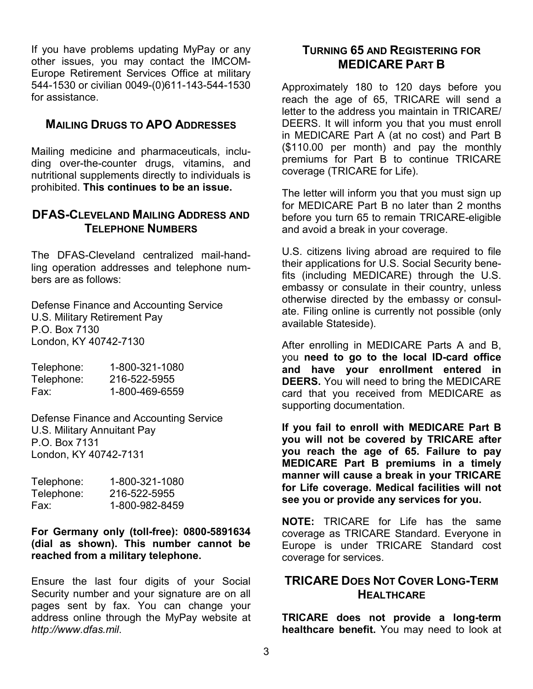If you have problems updating MyPay or any other issues, you may contact the IMCOM-Europe Retirement Services Office at military 544-1530 or civilian 0049-(0)611-143-544-1530 for assistance.

#### **MAILING DRUGS TO APO ADDRESSES**

Mailing medicine and pharmaceuticals, including over-the-counter drugs, vitamins, and nutritional supplements directly to individuals is prohibited. **This continues to be an issue.**

#### **DFAS-CLEVELAND MAILING ADDRESS AND TELEPHONE NUMBERS**

The DFAS-Cleveland centralized mail-handling operation addresses and telephone numbers are as follows:

Defense Finance and Accounting Service U.S. Military Retirement Pay P.O. Box 7130 London, KY 40742-7130

| Telephone: | 1-800-321-1080 |
|------------|----------------|
| Telephone: | 216-522-5955   |
| Fax:       | 1-800-469-6559 |

Defense Finance and Accounting Service U.S. Military Annuitant Pay P.O. Box 7131 London, KY 40742-7131

| Telephone: | 1-800-321-1080 |
|------------|----------------|
| Telephone: | 216-522-5955   |
| Fax:       | 1-800-982-8459 |

#### **For Germany only (toll-free): 0800-5891634 (dial as shown). This number cannot be reached from a military telephone.**

Ensure the last four digits of your Social Security number and your signature are on all pages sent by fax. You can change your address online through the MyPay website at *[http://www.dfas.mil](http://www.dfas.mil/)*.

#### **TURNING 65 AND REGISTERING FOR MEDICARE PART B**

Approximately 180 to 120 days before you reach the age of 65, TRICARE will send a letter to the address you maintain in TRICARE/ DEERS. It will inform you that you must enroll in MEDICARE Part A (at no cost) and Part B (\$110.00 per month) and pay the monthly premiums for Part B to continue TRICARE coverage (TRICARE for Life).

The letter will inform you that you must sign up for MEDICARE Part B no later than 2 months before you turn 65 to remain TRICARE-eligible and avoid a break in your coverage.

U.S. citizens living abroad are required to file their applications for U.S. Social Security benefits (including MEDICARE) through the U.S. embassy or consulate in their country, unless otherwise directed by the embassy or consulate. Filing online is currently not possible (only available Stateside).

After enrolling in MEDICARE Parts A and B, you **need to go to the local ID-card office and have your enrollment entered in DEERS.** You will need to bring the MEDICARE card that you received from MEDICARE as supporting documentation.

**If you fail to enroll with MEDICARE Part B you will not be covered by TRICARE after you reach the age of 65. Failure to pay MEDICARE Part B premiums in a timely manner will cause a break in your TRICARE for Life coverage. Medical facilities will not see you or provide any services for you.**

**NOTE:** TRICARE for Life has the same coverage as TRICARE Standard. Everyone in Europe is under TRICARE Standard cost coverage for services.

### **TRICARE DOES NOT COVER LONG-TERM HEALTHCARE**

**TRICARE does not provide a long-term healthcare benefit.** You may need to look at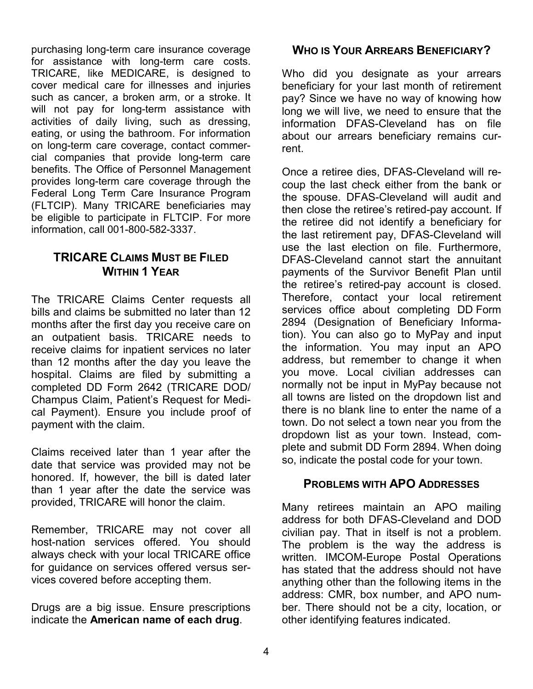purchasing long-term care insurance coverage for assistance with long-term care costs. TRICARE, like MEDICARE, is designed to cover medical care for illnesses and injuries such as cancer, a broken arm, or a stroke. It will not pay for long-term assistance with activities of daily living, such as dressing, eating, or using the bathroom. For information on long-term care coverage, contact commercial companies that provide long-term care benefits. The Office of Personnel Management provides long-term care coverage through the Federal Long Term Care Insurance Program (FLTCIP). Many TRICARE beneficiaries may be eligible to participate in FLTCIP. For more information, call 001-800-582-3337.

### **TRICARE CLAIMS MUST BE FILED WITHIN 1 YEAR**

The TRICARE Claims Center requests all bills and claims be submitted no later than 12 months after the first day you receive care on an outpatient basis. TRICARE needs to receive claims for inpatient services no later than 12 months after the day you leave the hospital. Claims are filed by submitting a completed DD Form 2642 (TRICARE DOD/ Champus Claim, Patient's Request for Medical Payment). Ensure you include proof of payment with the claim.

Claims received later than 1 year after the date that service was provided may not be honored. If, however, the bill is dated later than 1 year after the date the service was provided, TRICARE will honor the claim.

Remember, TRICARE may not cover all host-nation services offered. You should always check with your local TRICARE office for guidance on services offered versus services covered before accepting them.

Drugs are a big issue. Ensure prescriptions indicate the **American name of each drug**.

### **WHO IS YOUR ARREARS BENEFICIARY?**

Who did you designate as your arrears beneficiary for your last month of retirement pay? Since we have no way of knowing how long we will live, we need to ensure that the information DFAS-Cleveland has on file about our arrears beneficiary remains current.

Once a retiree dies, DFAS-Cleveland will recoup the last check either from the bank or the spouse. DFAS-Cleveland will audit and then close the retiree's retired-pay account. If the retiree did not identify a beneficiary for the last retirement pay, DFAS-Cleveland will use the last election on file. Furthermore, DFAS-Cleveland cannot start the annuitant payments of the Survivor Benefit Plan until the retiree's retired-pay account is closed. Therefore, contact your local retirement services office about completing DD Form 2894 (Designation of Beneficiary Information). You can also go to MyPay and input the information. You may input an APO address, but remember to change it when you move. Local civilian addresses can normally not be input in MyPay because not all towns are listed on the dropdown list and there is no blank line to enter the name of a town. Do not select a town near you from the dropdown list as your town. Instead, complete and submit DD Form 2894. When doing so, indicate the postal code for your town.

#### **PROBLEMS WITH APO ADDRESSES**

Many retirees maintain an APO mailing address for both DFAS-Cleveland and DOD civilian pay. That in itself is not a problem. The problem is the way the address is written. IMCOM-Europe Postal Operations has stated that the address should not have anything other than the following items in the address: CMR, box number, and APO number. There should not be a city, location, or other identifying features indicated.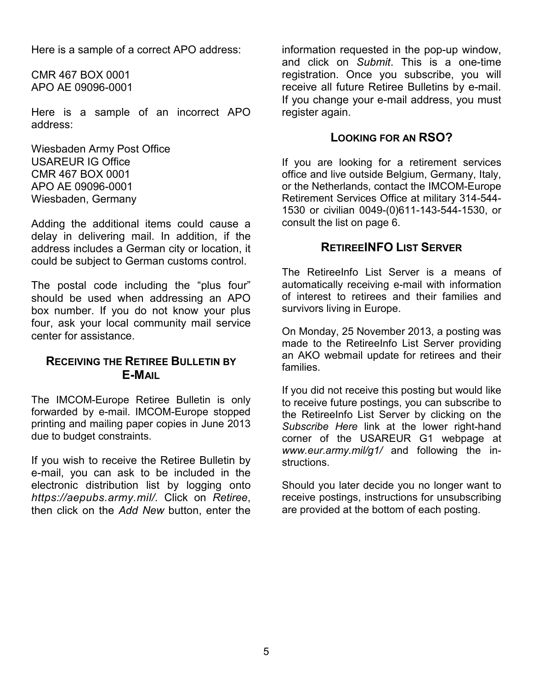Here is a sample of a correct APO address:

CMR 467 BOX 0001 APO AE 09096-0001

Here is a sample of an incorrect APO address:

Wiesbaden Army Post Office USAREUR IG Office CMR 467 BOX 0001 APO AE 09096-0001 Wiesbaden, Germany

Adding the additional items could cause a delay in delivering mail. In addition, if the address includes a German city or location, it could be subject to German customs control.

The postal code including the "plus four" should be used when addressing an APO box number. If you do not know your plus four, ask your local community mail service center for assistance.

#### **RECEIVING THE RETIREE BULLETIN BY E-MAIL**

The IMCOM-Europe Retiree Bulletin is only forwarded by e-mail. IMCOM-Europe stopped printing and mailing paper copies in June 2013 due to budget constraints.

If you wish to receive the Retiree Bulletin by e-mail, you can ask to be included in the electronic distribution list by logging onto *[https://aepubs.army.mil/.](https://aepubs.army.mil/)* Click on *Retiree*, then click on the *Add New* button, enter the

information requested in the pop-up window, and click on *Submit*. This is a one-time registration. Once you subscribe, you will receive all future Retiree Bulletins by e-mail. If you change your e-mail address, you must register again.

#### **LOOKING FOR AN RSO?**

If you are looking for a retirement services office and live outside Belgium, Germany, Italy, or the Netherlands, contact the IMCOM-Europe Retirement Services Office at military 314-544- 1530 or civilian 0049-(0)611-143-544-1530, or consult the list on page 6.

#### **RETIREEINFO LIST SERVER**

The RetireeInfo List Server is a means of automatically receiving e-mail with information of interest to retirees and their families and survivors living in Europe.

On Monday, 25 November 2013, a posting was made to the RetireeInfo List Server providing an AKO webmail update for retirees and their families.

If you did not receive this posting but would like to receive future postings, you can subscribe to the RetireeInfo List Server by clicking on the *Subscribe Here* link at the lower right-hand corner of the USAREUR G1 webpage at *www.eur.army.mil/g1/* and following the instructions.

Should you later decide you no longer want to receive postings, instructions for unsubscribing are provided at the bottom of each posting.